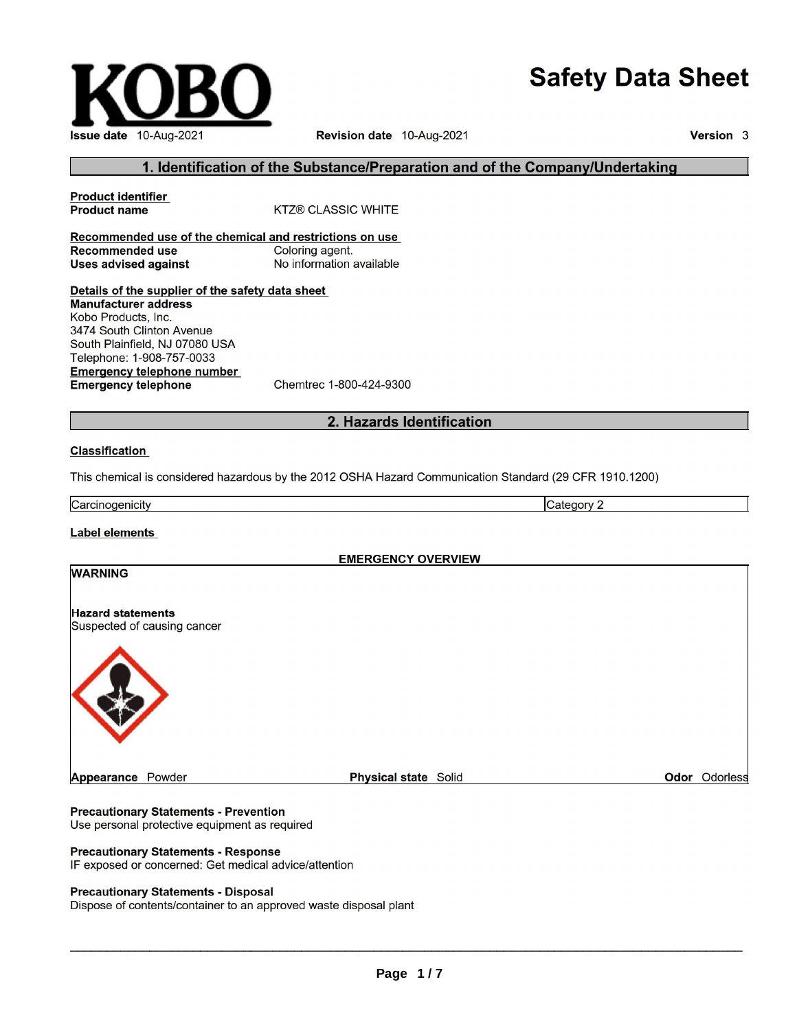# **Safety Data Sheet**



Revision date 10-Aug-2021

Version 3

# 1. Identification of the Substance/Preparation and of the Company/Undertaking

**Product identifier Product name KTZ® CLASSIC WHITE** Recommended use of the chemical and restrictions on use **Recommended use** Coloring agent. **Uses advised against** No information available

Details of the supplier of the safety data sheet **Manufacturer address** Kobo Products, Inc. 3474 South Clinton Avenue South Plainfield, NJ 07080 USA Telephone: 1-908-757-0033 **Emergency telephone number Emergency telephone** Chemtrec 1-800-424-9300

# 2. Hazards Identification

#### **Classification**

This chemical is considered hazardous by the 2012 OSHA Hazard Communication Standard (29 CFR 1910.1200)

Carcinogenicity Category 2

## Label elements

**EMERGENCY OVERVIEW** 



#### **Precautionary Statements - Prevention**

Use personal protective equipment as required

## **Precautionary Statements - Response**

IF exposed or concerned: Get medical advice/attention

#### **Precautionary Statements - Disposal**

Dispose of contents/container to an approved waste disposal plant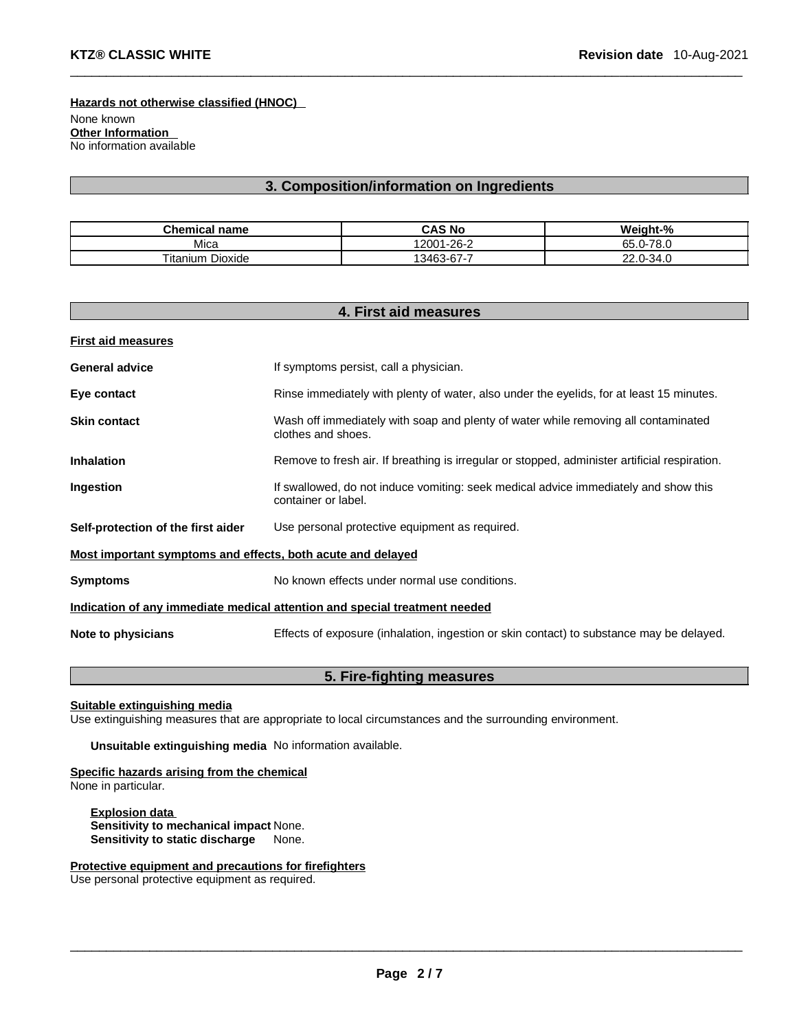None known **Other Information** No information available **Hazards not otherwise classified (HNOC)**

# **3. Composition/information on Ingredients**

 $\Box$ 

| <b>Chemical name</b>    | <b>CAS No</b> | Weight-%                |
|-------------------------|---------------|-------------------------|
| Mica                    | 12001-26-2    | 70 O<br>$65.0 -$<br>o.u |
| <b>Titanium Dioxide</b> | 13463-67-7    | $.0 - 34.0$<br>ົ<br>2Z. |

| 4. First aid measures                                       |                                                                                                            |  |
|-------------------------------------------------------------|------------------------------------------------------------------------------------------------------------|--|
| <b>First aid measures</b>                                   |                                                                                                            |  |
| <b>General advice</b>                                       | If symptoms persist, call a physician.                                                                     |  |
| Eye contact                                                 | Rinse immediately with plenty of water, also under the eyelids, for at least 15 minutes.                   |  |
| <b>Skin contact</b>                                         | Wash off immediately with soap and plenty of water while removing all contaminated<br>clothes and shoes.   |  |
| <b>Inhalation</b>                                           | Remove to fresh air. If breathing is irregular or stopped, administer artificial respiration.              |  |
| Ingestion                                                   | If swallowed, do not induce vomiting: seek medical advice immediately and show this<br>container or label. |  |
| Self-protection of the first aider                          | Use personal protective equipment as required.                                                             |  |
| Most important symptoms and effects, both acute and delayed |                                                                                                            |  |
| <b>Symptoms</b>                                             | No known effects under normal use conditions.                                                              |  |
|                                                             | Indication of any immediate medical attention and special treatment needed                                 |  |
| Note to physicians                                          | Effects of exposure (inhalation, ingestion or skin contact) to substance may be delayed.                   |  |

# **5. Fire-fighting measures**

**Suitable extinguishing media**

Use extinguishing measures that are appropriate to local circumstances and the surrounding environment.

**Unsuitable extinguishing media** No information available.

**Specific hazards arising from the chemical**

None in particular.

**Explosion data Sensitivity to mechanical impact** None. **Sensitivity to static discharge** None.

**Protective equipment and precautions for firefighters**

Use personal protective equipment as required.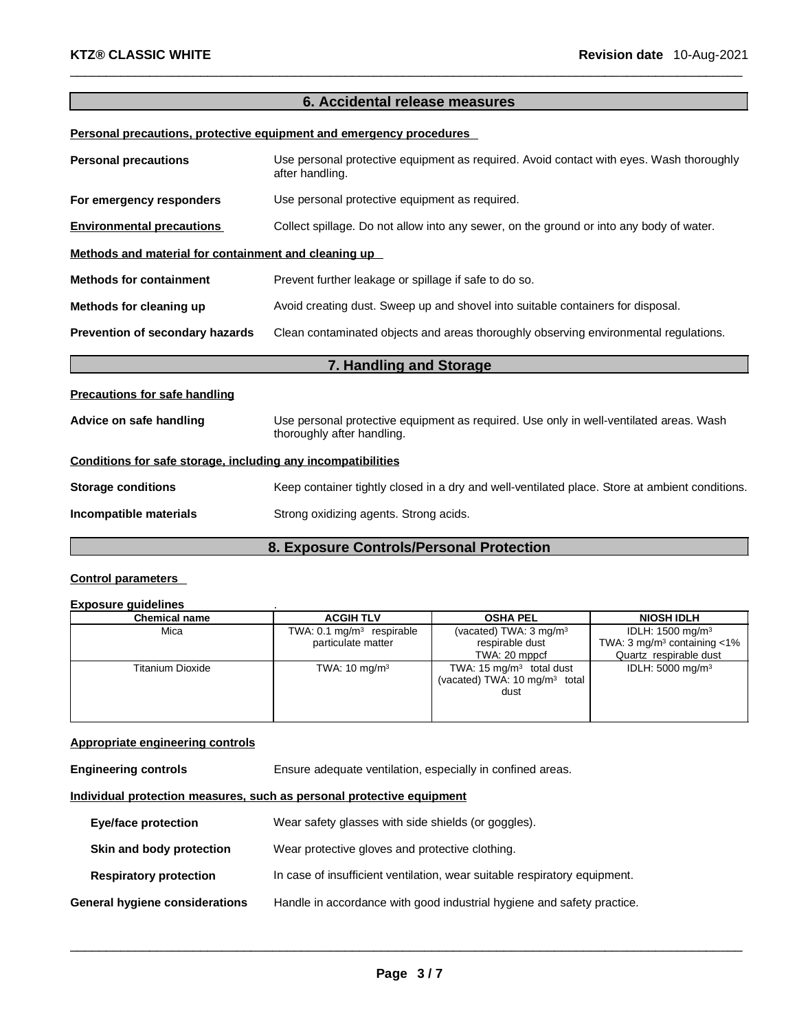# **6. Accidental release measures**

 $\Box$ 

**Personal precautions, protective equipment and emergency procedures**

| <b>Personal precautions</b>                                  | Use personal protective equipment as required. Avoid contact with eyes. Wash thoroughly<br>after handling.           |  |
|--------------------------------------------------------------|----------------------------------------------------------------------------------------------------------------------|--|
| For emergency responders                                     | Use personal protective equipment as required.                                                                       |  |
| <b>Environmental precautions</b>                             | Collect spillage. Do not allow into any sewer, on the ground or into any body of water.                              |  |
| Methods and material for containment and cleaning up         |                                                                                                                      |  |
| <b>Methods for containment</b>                               | Prevent further leakage or spillage if safe to do so.                                                                |  |
| Methods for cleaning up                                      | Avoid creating dust. Sweep up and shovel into suitable containers for disposal.                                      |  |
| Prevention of secondary hazards                              | Clean contaminated objects and areas thoroughly observing environmental regulations.                                 |  |
|                                                              | 7. Handling and Storage                                                                                              |  |
| <b>Precautions for safe handling</b>                         |                                                                                                                      |  |
| Advice on safe handling                                      | Use personal protective equipment as required. Use only in well-ventilated areas. Wash<br>thoroughly after handling. |  |
| Conditions for safe storage, including any incompatibilities |                                                                                                                      |  |
| <b>Storage conditions</b>                                    | Keep container tightly closed in a dry and well-ventilated place. Store at ambient conditions.                       |  |
| Incompatible materials                                       | Strong oxidizing agents. Strong acids.                                                                               |  |

# **8. Exposure Controls/Personal Protection**

# **Control parameters**

#### **Exposure guidelines** .

| <b>Chemical name</b> | <b>ACGIH TLV</b>                     | <b>OSHA PEL</b>                          | <b>NIOSH IDLH</b>                            |
|----------------------|--------------------------------------|------------------------------------------|----------------------------------------------|
| Mica                 | TWA: $0.1 \text{ mg/m}^3$ respirable | (vacated) TWA: 3 mg/m <sup>3</sup>       | IDLH: 1500 mg/m <sup>3</sup>                 |
|                      | particulate matter                   | respirable dust                          | TWA: $3 \text{ mg/m}^3$ containing $\lt 1\%$ |
|                      |                                      | TWA: 20 mppcf                            | Quartz respirable dust                       |
| Titanium Dioxide     | TWA: $10 \text{ mg/m}^3$             | TWA: $15 \text{ mg/m}^3$ total dust      | IDLH: $5000 \text{ mg/m}^3$                  |
|                      |                                      | (vacated) TWA: $10 \text{ mg/m}^3$ total |                                              |
|                      |                                      | dust                                     |                                              |
|                      |                                      |                                          |                                              |
|                      |                                      |                                          |                                              |

# **Appropriate engineering controls**

**Engineering controls** Ensure adequate ventilation, especially in confined areas.

## **Individual protection measures, such as personal protective equipment**

| Eye/face protection            | Wear safety glasses with side shields (or goggles).                       |
|--------------------------------|---------------------------------------------------------------------------|
| Skin and body protection       | Wear protective gloves and protective clothing.                           |
| <b>Respiratory protection</b>  | In case of insufficient ventilation, wear suitable respiratory equipment. |
| General hygiene considerations | Handle in accordance with good industrial hygiene and safety practice.    |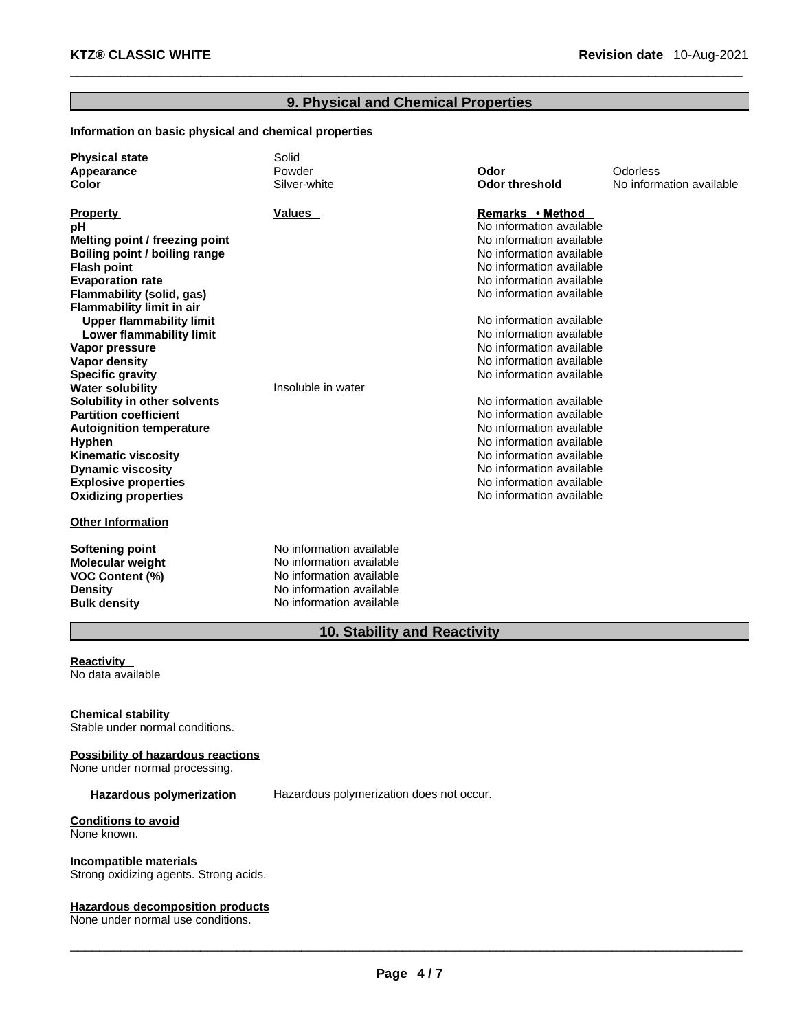# **9. Physical and Chemical Properties**

 $\Box$ 

# **Information on basic physical and chemical properties**

| <b>Physical state</b><br>Appearance<br><b>Color</b> | Solid<br>Powder<br>Silver-white | Odor<br><b>Odor threshold</b> | Odorless<br>No information available |
|-----------------------------------------------------|---------------------------------|-------------------------------|--------------------------------------|
| <b>Property</b>                                     | Values                          | Remarks • Method              |                                      |
| pH                                                  |                                 | No information available      |                                      |
| Melting point / freezing point                      |                                 | No information available      |                                      |
| Boiling point / boiling range                       |                                 | No information available      |                                      |
| <b>Flash point</b>                                  |                                 | No information available      |                                      |
| <b>Evaporation rate</b>                             |                                 | No information available      |                                      |
| Flammability (solid, gas)                           |                                 | No information available      |                                      |
| <b>Flammability limit in air</b>                    |                                 |                               |                                      |
| <b>Upper flammability limit</b>                     |                                 | No information available      |                                      |
| <b>Lower flammability limit</b>                     |                                 | No information available      |                                      |
| Vapor pressure                                      |                                 | No information available      |                                      |
| <b>Vapor density</b>                                |                                 | No information available      |                                      |
| <b>Specific gravity</b>                             |                                 | No information available      |                                      |
| <b>Water solubility</b>                             | Insoluble in water              |                               |                                      |
| Solubility in other solvents                        |                                 | No information available      |                                      |
| <b>Partition coefficient</b>                        |                                 | No information available      |                                      |
| <b>Autoignition temperature</b>                     |                                 | No information available      |                                      |
| <b>Hyphen</b>                                       |                                 | No information available      |                                      |
| <b>Kinematic viscosity</b>                          |                                 | No information available      |                                      |
| <b>Dynamic viscosity</b>                            |                                 | No information available      |                                      |
| <b>Explosive properties</b>                         |                                 | No information available      |                                      |
| <b>Oxidizing properties</b>                         |                                 | No information available      |                                      |
| <b>Other Information</b>                            |                                 |                               |                                      |
| Softening point                                     | No information available        |                               |                                      |
| <b>Molecular weight</b>                             | No information available        |                               |                                      |
| <b>VOC Content (%)</b>                              | No information available        |                               |                                      |
| Density                                             | No information available        |                               |                                      |
| <b>Bulk density</b>                                 | No information available        |                               |                                      |

# **10. Stability and Reactivity**

#### **Reactivity** No data available

**Chemical stability**

Stable under normal conditions.

#### **Possibility of hazardous reactions** None under normal processing.

**Hazardous polymerization** Hazardous polymerization does not occur.

# **Conditions to avoid**

None known.

#### **Incompatible materials**

Strong oxidizing agents. Strong acids.

#### **Hazardous decomposition products**

None under normal use conditions.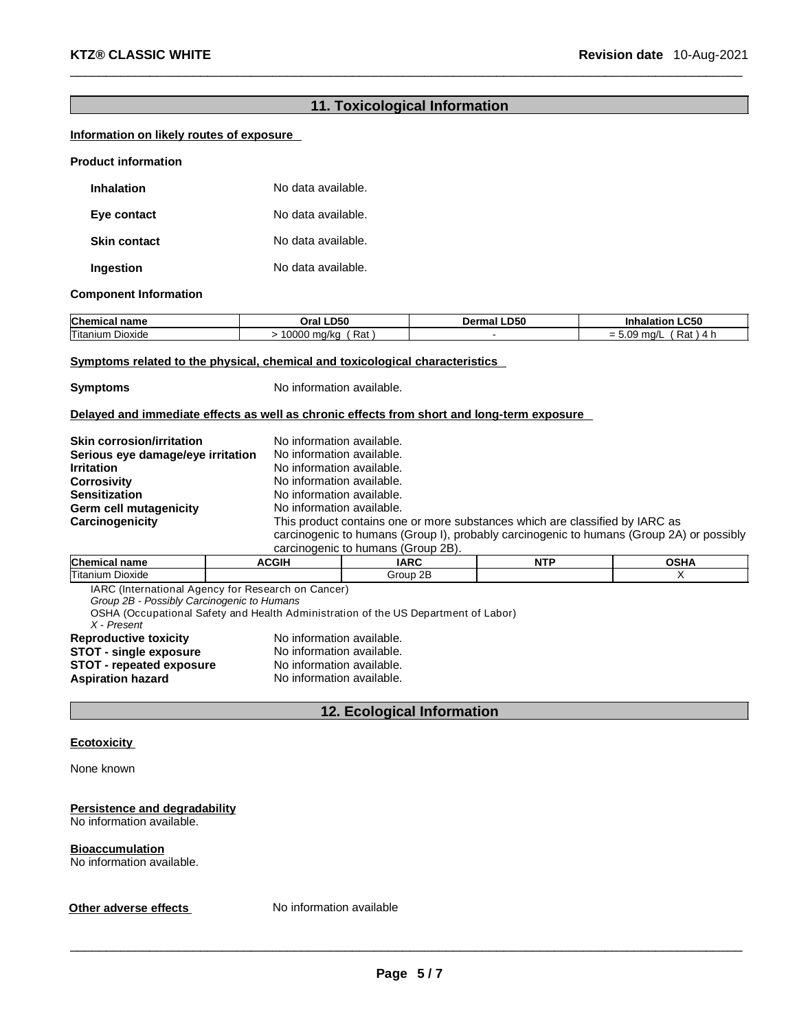# **11. Toxicological Information**

 $\Box$ 

# **Information on likely routes of exposure**

| <b>Product information</b> |                    |  |
|----------------------------|--------------------|--|
| <b>Inhalation</b>          | No data available. |  |
| Eye contact                | No data available. |  |
| <b>Skin contact</b>        | No data available. |  |
| Ingestion                  | No data available. |  |

#### **Component Information**

| <b>Chemical</b>            | ILD50                 | -D50   | $\mathsf{L}$ C50           |
|----------------------------|-----------------------|--------|----------------------------|
| name                       | Oral                  | Dermal | naiation i                 |
| Titanium<br><b>Dioxide</b> | Rat<br>10000<br>ma/ka |        | $\sim$<br>Rat<br>ma/l<br>- |

#### **Symptoms related to the physical, chemical and toxicological characteristics**

**Symptoms** No information available.

## **Delayed and immediate effects as well as chronic effects from short and long-term exposure**

| <b>Skin corrosion/irritation</b>  | No information available.                                                                                                                                                |
|-----------------------------------|--------------------------------------------------------------------------------------------------------------------------------------------------------------------------|
| Serious eye damage/eye irritation | No information available.                                                                                                                                                |
| <b>Irritation</b>                 | No information available.                                                                                                                                                |
| <b>Corrosivity</b>                | No information available.                                                                                                                                                |
| <b>Sensitization</b>              | No information available.                                                                                                                                                |
| Germ cell mutagenicity            | No information available.                                                                                                                                                |
| Carcinogenicity                   | This product contains one or more substances which are classified by IARC as<br>carcinogenic to humans (Group I), probably carcinogenic to humans (Group 2A) or possibly |
|                                   |                                                                                                                                                                          |

| 2B)<br>humans<br>nn r<br>(Group<br>aenic<br>tΩ                       |  |             |  |  |
|----------------------------------------------------------------------|--|-------------|--|--|
| Chemical<br>៱ເມ∧<br>COIL<br>18 ס<br><b>NITE</b><br>name<br>JJNP<br>. |  |             |  |  |
| Titanium<br>Dioxide                                                  |  | 2B<br>Group |  |  |

IARC (International Agency for Research on Cancer)<br>Group 2B - Possibly Carcinogenic to Humans

*Group 2B - Possibly Carcinogenic to Humans*

OSHA (Occupational Safety and Health Administration of the US Department of Labor)

| X - Present                     |                           |
|---------------------------------|---------------------------|
| <b>Reproductive toxicity</b>    | No information available. |
| <b>STOT - single exposure</b>   | No information available. |
| <b>STOT - repeated exposure</b> | No information available. |
| Aspiration hazard               | No information available. |

# **12. Ecological Information**

## **Ecotoxicity**

None known

# **Persistence and degradability**

No information available.

# **Bioaccumulation**

No information available.

# **Other adverse effects** No information available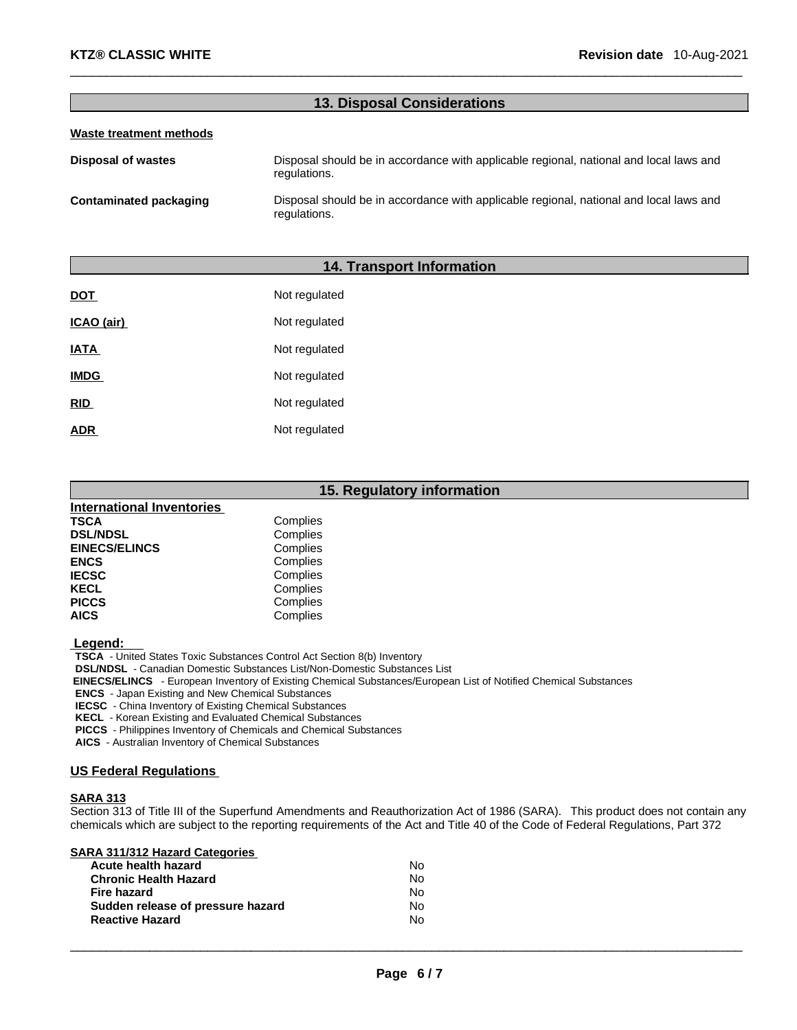# **13. Disposal Considerations**

 $\Box$ 

#### **Waste treatment methods**

**Disposal of wastes** Disposal should be in accordance with applicable regional, national and local laws and regulations.

**Contaminated packaging** Disposal should be in accordance with applicable regional, national and local laws and regulations.

## **14. Transport Information**

| <b>DOT</b>  | Not regulated |
|-------------|---------------|
| ICAO (air)  | Not regulated |
| <b>IATA</b> | Not regulated |
| <b>IMDG</b> | Not regulated |
| <b>RID</b>  | Not regulated |
| ADR         | Not regulated |

|                                  | 15. Regulatory information |
|----------------------------------|----------------------------|
| <b>International Inventories</b> |                            |
| TSCA                             | Complies                   |
| <b>DSL/NDSL</b>                  | Complies                   |
| <b>EINECS/ELINCS</b>             | Complies                   |
| <b>ENCS</b>                      | Complies                   |
| <b>IECSC</b>                     | Complies                   |
| <b>KECL</b>                      | Complies                   |
| <b>PICCS</b>                     | Complies                   |
| AICS                             | Complies                   |
|                                  |                            |

 **Legend:**

 **TSCA** - United States Toxic Substances Control Act Section 8(b) Inventory

 **DSL/NDSL** - Canadian Domestic Substances List/Non-Domestic Substances List

 **EINECS/ELINCS** - European Inventory of Existing Chemical Substances/European List of Notified Chemical Substances

 **ENCS** - Japan Existing and New Chemical Substances

 **IECSC** - China Inventory of Existing Chemical Substances

 **KECL** - Korean Existing and Evaluated Chemical Substances

 **PICCS** - Philippines Inventory of Chemicals and Chemical Substances

 **AICS** - Australian Inventory of Chemical Substances

## **US Federal Regulations**

#### **SARA 313**

Section 313 of Title III of the Superfund Amendments and Reauthorization Act of 1986 (SARA). This product does not contain any chemicals which are subject to the reporting requirements of the Act and Title 40 of the Code of Federal Regulations, Part 372

|  |  | <b>SARA 311/312 Hazard Categories</b> |  |
|--|--|---------------------------------------|--|
|  |  |                                       |  |

| Acute health hazard               | N٥ |
|-----------------------------------|----|
| <b>Chronic Health Hazard</b>      | Nο |
| <b>Fire hazard</b>                | Nο |
| Sudden release of pressure hazard | Nο |
| <b>Reactive Hazard</b>            | Nο |
|                                   |    |